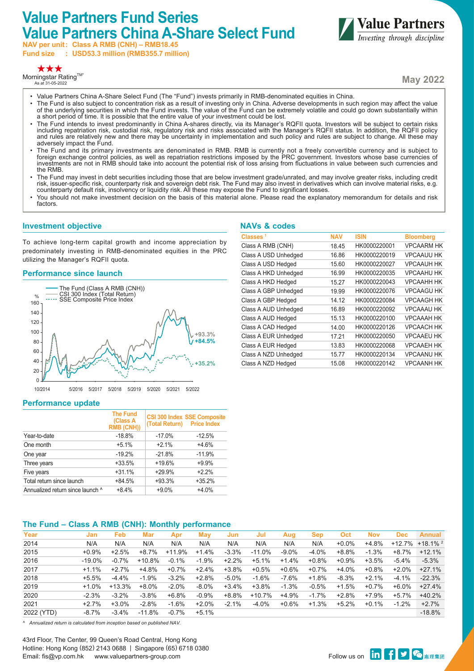# **Value Partners Fund Series Value Partners China A-Share Select Fund**

**NAV per unit: Class A RMB (CNH) – RMB18.45 Fund size : USD53.3 million (RMB355.7 million)**



Morningstar Rating™\*<br>As at 31-05-2022



**May 2022**

- Value Partners China A-Share Select Fund (The "Fund") invests primarily in RMB-denominated equities in China.
- The Fund is also subject to concentration risk as a result of investing only in China. Adverse developments in such region may affect the value of the underlying securities in which the Fund invests. The value of the Fund can be extremely volatile and could go down substantially within a short period of time. It is possible that the entire value of your investment could be lost.
- The Fund intends to invest predominantly in China A-shares directly, via its Manager's RQFII quota. Investors will be subject to certain risks including repatriation risk, custodial risk, regulatory risk and risks associated with the Manager's RQFII status. In addition, the RQFII policy and rules are relatively new and there may be uncertainty in implementation and such policy and rules are subject to change. All these may adversely impact the Fund.
- The Fund and its primary investments are denominated in RMB. RMB is currently not a freely convertible currency and is subject to \*<br>foreign exchange control policies, as well as repatriation restrictions imposed by the PRC investments are not in RMB should take into account the potential risk of loss arising from fluctuations in value between such currencies and the RMB.
- The Fund may invest in debt securities including those that are below investment grade/unrated, and may involve greater risks, including credit risk, issuer-specific risk, counterparty risk and sovereign debt risk. The Fund may also invest in derivatives which can involve material risks, e.g. counterparty default risk, insolvency or liquidity risk. All these may expose the Fund to significant losses.
- You should not make investment decision on the basis of this material alone. Please read the explanatory memorandum for details and risk factors.

## **Investment objective**

To achieve long-term capital growth and income appreciation by predominately investing in RMB-denominated equities in the PRC utilizing the Manager's RQFII quota.

## **Performance since launch**



## **Performance update**

|                                  | <b>The Fund</b><br>(Class A<br><b>RMB (CNH))</b> | (Total Return) Price Index | <b>CSI 300 Index SSE Composite</b> |
|----------------------------------|--------------------------------------------------|----------------------------|------------------------------------|
| Year-to-date                     | $-18.8%$                                         | $-17.0%$                   | $-12.5%$                           |
| One month                        | $+5.1%$                                          | $+2.1%$                    | $+4.6%$                            |
| One year                         | $-19.2%$                                         | $-21.8%$                   | $-11.9%$                           |
| Three years                      | $+33.5%$                                         | $+19.6%$                   | $+9.9%$                            |
| Five years                       | $+31.1%$                                         | $+29.9%$                   | $+2.2%$                            |
| Total return since launch        | $+84.5%$                                         | $+93.3%$                   | $+35.2%$                           |
| Annualized return since launch ^ | $+8.4%$                                          | $+9.0%$                    | $+4.0%$                            |

## **The Fund – Class A RMB (CNH): Monthly performance**

| Year       | Jan       | Feb      | Mar      | Apr      | May      | Jun      | Jul      | Aug      | <b>Sep</b> | Oct      | <b>Nov</b> | <b>Dec</b> | <b>Annual</b>          |
|------------|-----------|----------|----------|----------|----------|----------|----------|----------|------------|----------|------------|------------|------------------------|
| 2014       | N/A       | N/A      | N/A      | N/A      | N/A      | N/A      | N/A      | N/A      | N/A        | $+0.0\%$ | $+4.8%$    | +12.7%     | $+18.1\%$ <sup>2</sup> |
| 2015       | $+0.9%$   | $+2.5%$  | $+8.7%$  | $+11.9%$ | $+1.4%$  | $-3.3%$  | $-11.0%$ | $-9.0%$  | $-4.0\%$   | +8.8%    | $-1.3%$    | +8.7%      | $+12.1%$               |
| 2016       | $-19.0\%$ | $-0.7%$  | $+10.8%$ | $-0.1%$  | $-1.9%$  | $+2.2%$  | $+5.1%$  | $+1.4%$  | $+0.8\%$   | $+0.9\%$ | +3.5%      | $-5.4%$    | $-5.3%$                |
| 2017       | $+1.1%$   | $+2.7%$  | +4.8%    | $+0.7%$  | $+2.4%$  | $+3.8%$  | $+0.5%$  | +0.6%    | +0.7%      | +4.0%    | $+0.8\%$   | +2.0%      | $+27.1%$               |
| 2018       | $+5.5%$   | $-4.4%$  | $-1.9%$  | $-3.2%$  | $+2.8%$  | $-5.0\%$ | $-1.6%$  | $-7.6\%$ | $+1.8%$    | $-8.3%$  | $+2.1%$    | $-4.1%$    | $-22.3%$               |
| 2019       | $+1.0%$   | $+13.3%$ | $+8.0\%$ | $-2.0%$  | $-8.0\%$ | $+3.4%$  | $+3.8%$  | $-1.3%$  | $-0.5%$    | $+1.5%$  | $+0.7\%$   | +6.0%      | $+27.4%$               |
| 2020       | $-2.3%$   | $-3.2%$  | $-3.8%$  | $+6.8%$  | $-0.9%$  | $+8.8%$  | $+10.7%$ | +4.9%    | $-1.7%$    | $+2.8%$  | +7.9%      | +5.7%      | $+40.2%$               |
| 2021       | $+2.7%$   | $+3.0%$  | $-2.8%$  | $-1.6%$  | $+2.0%$  | $-2.1%$  | $-4.0%$  | +0.6%    | $+1.3%$    | $+5.2%$  | +0.1%      | $-1.2%$    | $+2.7%$                |
| 2022 (YTD) | $-8.7\%$  | $-3.4%$  | $-11.8%$ | $-0.7\%$ | $+5.1%$  |          |          |          |            |          |            |            | $-18.8%$               |
|            |           |          |          |          |          |          |          |          |            |          |            |            |                        |

*^ Annualized return is calculated from inception based on published NAV.*

43rd Floor, The Center, 99 Queen's Road Central, Hong Kong Hotline: Hong Kong (852) 2143 0688 | Singapore (65) 6718 0380 Email: fis@vp.com.hk www.valuepartners-group.com

## **NAVs & codes**

| Classes <sup>1</sup> | NAV   | <b>ISIN</b>  | <b>Bloomberg</b>  |
|----------------------|-------|--------------|-------------------|
| Class A RMB (CNH)    | 18.45 | HK0000220001 | <b>VPCAARM HK</b> |
| Class A USD Unhedged | 16.86 | HK0000220019 | <b>VPCAAUU HK</b> |
| Class A USD Hedged   | 15.60 | HK0000220027 | <b>VPCAAUH HK</b> |
| Class A HKD Unhedged | 16.99 | HK0000220035 | <b>VPCAAHU HK</b> |
| Class A HKD Hedged   | 15.27 | HK0000220043 | <b>VPCAAHH HK</b> |
| Class A GBP Unhedged | 19.99 | HK0000220076 | <b>VPCAAGU HK</b> |
| Class A GBP Hedged   | 14.12 | HK0000220084 | <b>VPCAAGH HK</b> |
| Class A AUD Unhedged | 16.89 | HK0000220092 | <b>VPCAAAU HK</b> |
| Class A AUD Hedged   | 15.13 | HK0000220100 | <b>VPCAAAH HK</b> |
| Class A CAD Hedged   | 14.00 | HK0000220126 | <b>VPCAACH HK</b> |
| Class A EUR Unhedged | 17.21 | HK0000220050 | <b>VPCAAEU HK</b> |
| Class A EUR Hedged   | 13.83 | HK0000220068 | <b>VPCAAEH HK</b> |
| Class A NZD Unhedged | 15.77 | HK0000220134 | <b>VPCAANU HK</b> |
| Class A NZD Hedged   | 15.08 | HK0000220142 | <b>VPCAANH HK</b> |